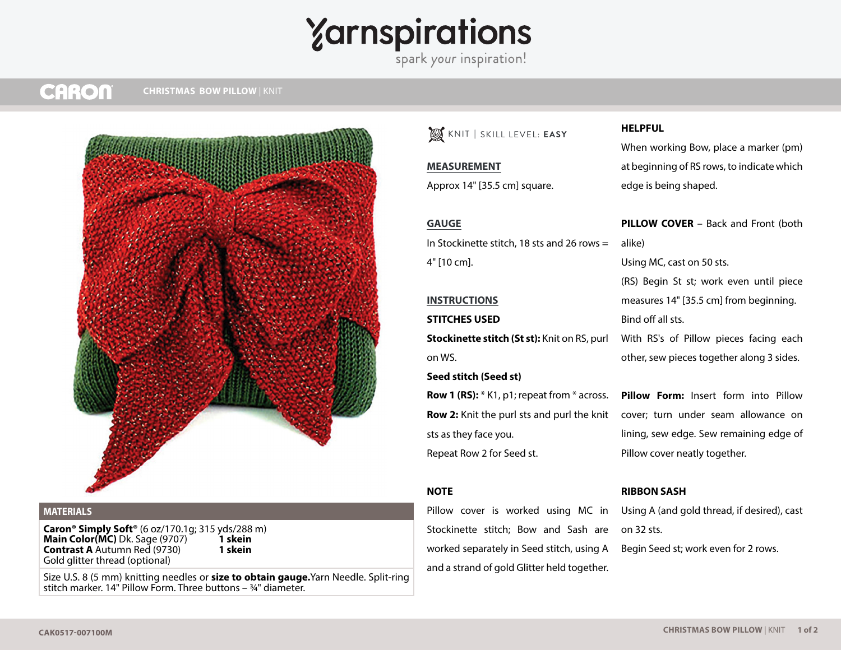## $\gamma$ arnspirations

#### **CARON CHRISTMAS BOW PILLOW | KNIT**



## **MATERIALS**

**Caron® Simply Soft®** (6 oz/170.1g; 315 yds/288 m)<br>**Main Color(MC)** Dk. Sage (9707) **1 skein Main Color(MC)** Dk. Sage (9707) **1 skein**<br>**Contrast A** Autumn Red (9730) **1 skein Contrast A** Autumn Red (9730) Gold glitter thread (optional)

Size U.S. 8 (5 mm) knitting needles or **size to obtain gauge.**Yarn Needle. Split-ring stitch marker. 14" Pillow Form. Three buttons  $\frac{3}{4}$ " diameter.

## KNIT **|** SKILL LEVEL: **EASY**

#### **MEASUREMENT**

Approx 14" [35.5 cm] square.

## **GAUGE**

In Stockinette stitch, 18 sts and 26 rows = 4" [10 cm].

## **INSTRUCTIONS**

#### **STITCHES USED**

**Stockinette stitch (St st):** Knit on RS, purl on WS.

#### **Seed stitch (Seed st)**

**Row 1 (RS):** \* K1, p1; repeat from \* across. **Row 2:** Knit the purl sts and purl the knit sts as they face you. Repeat Row 2 for Seed st.

#### **NOTE**

Pillow cover is worked using MC in Stockinette stitch; Bow and Sash are worked separately in Seed stitch, using A and a strand of gold Glitter held together.

#### **HELPFUL**

When working Bow, place a marker (pm) at beginning of RS rows, to indicate which edge is being shaped.

**PILLOW COVER** – Back and Front (both alike) Using MC, cast on 50 sts.

(RS) Begin St st; work even until piece measures 14" [35.5 cm] from beginning. Bind off all sts.

With RS's of Pillow pieces facing each other, sew pieces together along 3 sides.

**Pillow Form:** Insert form into Pillow cover; turn under seam allowance on lining, sew edge. Sew remaining edge of Pillow cover neatly together.

## **RIBBON SASH**

Using A (and gold thread, if desired), cast on 32 sts. Begin Seed st; work even for 2 rows.